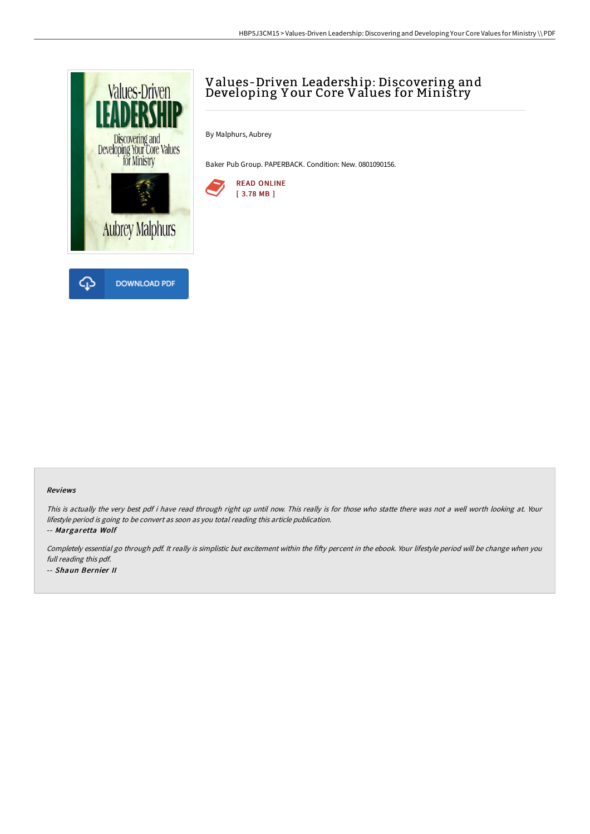

## Values-Driven Leadership: Discovering and Developing Y our Core Values for Ministry

By Malphurs, Aubrey

Baker Pub Group. PAPERBACK. Condition: New. 0801090156.



## Reviews

This is actually the very best pdf i have read through right up until now. This really is for those who statte there was not <sup>a</sup> well worth looking at. Your lifestyle period is going to be convert as soon as you total reading this article publication.

-- Margaretta Wolf

Completely essential go through pdf. It really is simplistic but excitement within the fifty percent in the ebook. Your lifestyle period will be change when you full reading this pdf. -- Shaun Bernier II